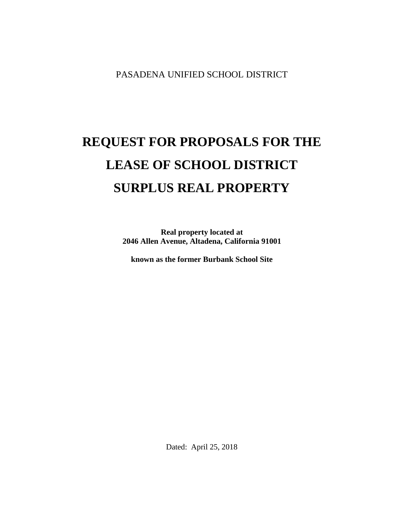PASADENA UNIFIED SCHOOL DISTRICT

# **REQUEST FOR PROPOSALS FOR THE LEASE OF SCHOOL DISTRICT SURPLUS REAL PROPERTY**

**Real property located at 2046 Allen Avenue, Altadena, California 91001**

**known as the former Burbank School Site**

Dated: April 25, 2018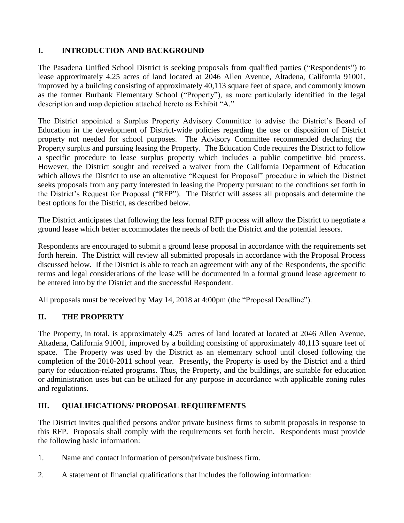## **I. INTRODUCTION AND BACKGROUND**

The Pasadena Unified School District is seeking proposals from qualified parties ("Respondents") to lease approximately 4.25 acres of land located at 2046 Allen Avenue, Altadena, California 91001, improved by a building consisting of approximately 40,113 square feet of space, and commonly known as the former Burbank Elementary School ("Property"), as more particularly identified in the legal description and map depiction attached hereto as Exhibit "A."

The District appointed a Surplus Property Advisory Committee to advise the District's Board of Education in the development of District-wide policies regarding the use or disposition of District property not needed for school purposes. The Advisory Committee recommended declaring the Property surplus and pursuing leasing the Property. The Education Code requires the District to follow a specific procedure to lease surplus property which includes a public competitive bid process. However, the District sought and received a waiver from the California Department of Education which allows the District to use an alternative "Request for Proposal" procedure in which the District seeks proposals from any party interested in leasing the Property pursuant to the conditions set forth in the District's Request for Proposal ("RFP"). The District will assess all proposals and determine the best options for the District, as described below.

The District anticipates that following the less formal RFP process will allow the District to negotiate a ground lease which better accommodates the needs of both the District and the potential lessors.

Respondents are encouraged to submit a ground lease proposal in accordance with the requirements set forth herein. The District will review all submitted proposals in accordance with the Proposal Process discussed below. If the District is able to reach an agreement with any of the Respondents, the specific terms and legal considerations of the lease will be documented in a formal ground lease agreement to be entered into by the District and the successful Respondent.

All proposals must be received by May 14, 2018 at 4:00pm (the "Proposal Deadline").

## **II. THE PROPERTY**

The Property, in total, is approximately 4.25 acres of land located at located at 2046 Allen Avenue, Altadena, California 91001, improved by a building consisting of approximately 40,113 square feet of space. The Property was used by the District as an elementary school until closed following the completion of the 2010-2011 school year. Presently, the Property is used by the District and a third party for education-related programs. Thus, the Property, and the buildings, are suitable for education or administration uses but can be utilized for any purpose in accordance with applicable zoning rules and regulations.

## **III. QUALIFICATIONS/ PROPOSAL REQUIREMENTS**

The District invites qualified persons and/or private business firms to submit proposals in response to this RFP. Proposals shall comply with the requirements set forth herein. Respondents must provide the following basic information:

- 1. Name and contact information of person/private business firm.
- 2. A statement of financial qualifications that includes the following information: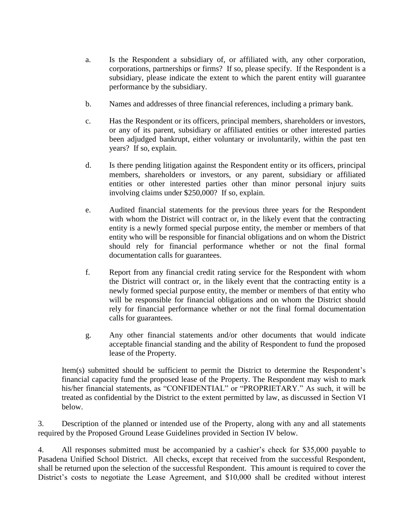- a. Is the Respondent a subsidiary of, or affiliated with, any other corporation, corporations, partnerships or firms? If so, please specify. If the Respondent is a subsidiary, please indicate the extent to which the parent entity will guarantee performance by the subsidiary.
- b. Names and addresses of three financial references, including a primary bank.
- c. Has the Respondent or its officers, principal members, shareholders or investors, or any of its parent, subsidiary or affiliated entities or other interested parties been adjudged bankrupt, either voluntary or involuntarily, within the past ten years? If so, explain.
- d. Is there pending litigation against the Respondent entity or its officers, principal members, shareholders or investors, or any parent, subsidiary or affiliated entities or other interested parties other than minor personal injury suits involving claims under \$250,000? If so, explain.
- e. Audited financial statements for the previous three years for the Respondent with whom the District will contract or, in the likely event that the contracting entity is a newly formed special purpose entity, the member or members of that entity who will be responsible for financial obligations and on whom the District should rely for financial performance whether or not the final formal documentation calls for guarantees.
- f. Report from any financial credit rating service for the Respondent with whom the District will contract or, in the likely event that the contracting entity is a newly formed special purpose entity, the member or members of that entity who will be responsible for financial obligations and on whom the District should rely for financial performance whether or not the final formal documentation calls for guarantees.
- g. Any other financial statements and/or other documents that would indicate acceptable financial standing and the ability of Respondent to fund the proposed lease of the Property.

Item(s) submitted should be sufficient to permit the District to determine the Respondent's financial capacity fund the proposed lease of the Property. The Respondent may wish to mark his/her financial statements, as "CONFIDENTIAL" or "PROPRIETARY." As such, it will be treated as confidential by the District to the extent permitted by law, as discussed in Section VI below.

3. Description of the planned or intended use of the Property, along with any and all statements required by the Proposed Ground Lease Guidelines provided in Section IV below.

4. All responses submitted must be accompanied by a cashier's check for \$35,000 payable to Pasadena Unified School District. All checks, except that received from the successful Respondent, shall be returned upon the selection of the successful Respondent. This amount is required to cover the District's costs to negotiate the Lease Agreement, and \$10,000 shall be credited without interest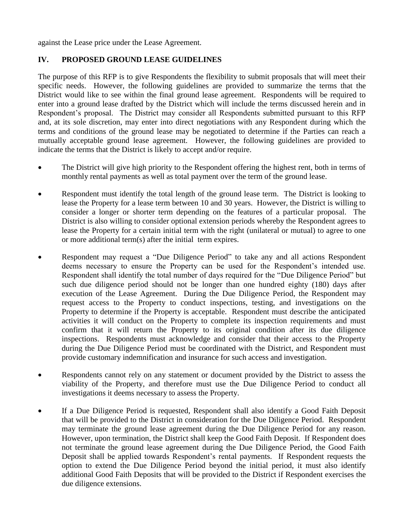against the Lease price under the Lease Agreement.

#### **IV. PROPOSED GROUND LEASE GUIDELINES**

The purpose of this RFP is to give Respondents the flexibility to submit proposals that will meet their specific needs. However, the following guidelines are provided to summarize the terms that the District would like to see within the final ground lease agreement. Respondents will be required to enter into a ground lease drafted by the District which will include the terms discussed herein and in Respondent's proposal. The District may consider all Respondents submitted pursuant to this RFP and, at its sole discretion, may enter into direct negotiations with any Respondent during which the terms and conditions of the ground lease may be negotiated to determine if the Parties can reach a mutually acceptable ground lease agreement. However, the following guidelines are provided to indicate the terms that the District is likely to accept and/or require.

- The District will give high priority to the Respondent offering the highest rent, both in terms of monthly rental payments as well as total payment over the term of the ground lease.
- Respondent must identify the total length of the ground lease term. The District is looking to lease the Property for a lease term between 10 and 30 years. However, the District is willing to consider a longer or shorter term depending on the features of a particular proposal. The District is also willing to consider optional extension periods whereby the Respondent agrees to lease the Property for a certain initial term with the right (unilateral or mutual) to agree to one or more additional term(s) after the initial term expires.
- Respondent may request a "Due Diligence Period" to take any and all actions Respondent deems necessary to ensure the Property can be used for the Respondent's intended use. Respondent shall identify the total number of days required for the "Due Diligence Period" but such due diligence period should not be longer than one hundred eighty (180) days after execution of the Lease Agreement. During the Due Diligence Period, the Respondent may request access to the Property to conduct inspections, testing, and investigations on the Property to determine if the Property is acceptable. Respondent must describe the anticipated activities it will conduct on the Property to complete its inspection requirements and must confirm that it will return the Property to its original condition after its due diligence inspections. Respondents must acknowledge and consider that their access to the Property during the Due Diligence Period must be coordinated with the District, and Respondent must provide customary indemnification and insurance for such access and investigation.
- Respondents cannot rely on any statement or document provided by the District to assess the viability of the Property, and therefore must use the Due Diligence Period to conduct all investigations it deems necessary to assess the Property.
- If a Due Diligence Period is requested, Respondent shall also identify a Good Faith Deposit that will be provided to the District in consideration for the Due Diligence Period. Respondent may terminate the ground lease agreement during the Due Diligence Period for any reason. However, upon termination, the District shall keep the Good Faith Deposit. If Respondent does not terminate the ground lease agreement during the Due Diligence Period, the Good Faith Deposit shall be applied towards Respondent's rental payments. If Respondent requests the option to extend the Due Diligence Period beyond the initial period, it must also identify additional Good Faith Deposits that will be provided to the District if Respondent exercises the due diligence extensions.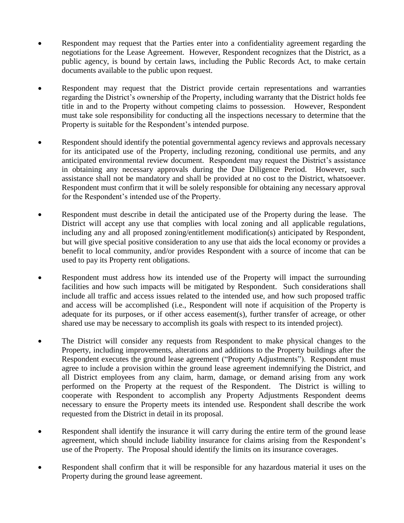- Respondent may request that the Parties enter into a confidentiality agreement regarding the negotiations for the Lease Agreement. However, Respondent recognizes that the District, as a public agency, is bound by certain laws, including the Public Records Act, to make certain documents available to the public upon request.
- Respondent may request that the District provide certain representations and warranties regarding the District's ownership of the Property, including warranty that the District holds fee title in and to the Property without competing claims to possession. However, Respondent must take sole responsibility for conducting all the inspections necessary to determine that the Property is suitable for the Respondent's intended purpose.
- Respondent should identify the potential governmental agency reviews and approvals necessary for its anticipated use of the Property, including rezoning, conditional use permits, and any anticipated environmental review document. Respondent may request the District's assistance in obtaining any necessary approvals during the Due Diligence Period. However, such assistance shall not be mandatory and shall be provided at no cost to the District, whatsoever. Respondent must confirm that it will be solely responsible for obtaining any necessary approval for the Respondent's intended use of the Property.
- Respondent must describe in detail the anticipated use of the Property during the lease. The District will accept any use that complies with local zoning and all applicable regulations, including any and all proposed zoning/entitlement modification(s) anticipated by Respondent, but will give special positive consideration to any use that aids the local economy or provides a benefit to local community, and/or provides Respondent with a source of income that can be used to pay its Property rent obligations.
- Respondent must address how its intended use of the Property will impact the surrounding facilities and how such impacts will be mitigated by Respondent. Such considerations shall include all traffic and access issues related to the intended use, and how such proposed traffic and access will be accomplished (i.e., Respondent will note if acquisition of the Property is adequate for its purposes, or if other access easement(s), further transfer of acreage, or other shared use may be necessary to accomplish its goals with respect to its intended project).
- The District will consider any requests from Respondent to make physical changes to the Property, including improvements, alterations and additions to the Property buildings after the Respondent executes the ground lease agreement ("Property Adjustments"). Respondent must agree to include a provision within the ground lease agreement indemnifying the District, and all District employees from any claim, harm, damage, or demand arising from any work performed on the Property at the request of the Respondent. The District is willing to cooperate with Respondent to accomplish any Property Adjustments Respondent deems necessary to ensure the Property meets its intended use. Respondent shall describe the work requested from the District in detail in its proposal.
- Respondent shall identify the insurance it will carry during the entire term of the ground lease agreement, which should include liability insurance for claims arising from the Respondent's use of the Property. The Proposal should identify the limits on its insurance coverages.
- Respondent shall confirm that it will be responsible for any hazardous material it uses on the Property during the ground lease agreement.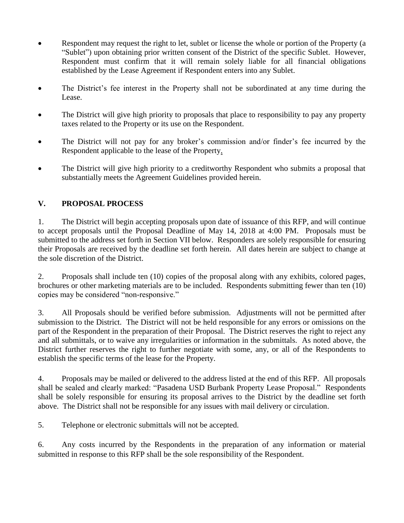- Respondent may request the right to let, sublet or license the whole or portion of the Property (a "Sublet") upon obtaining prior written consent of the District of the specific Sublet. However, Respondent must confirm that it will remain solely liable for all financial obligations established by the Lease Agreement if Respondent enters into any Sublet.
- The District's fee interest in the Property shall not be subordinated at any time during the Lease.
- The District will give high priority to proposals that place to responsibility to pay any property taxes related to the Property or its use on the Respondent.
- The District will not pay for any broker's commission and/or finder's fee incurred by the Respondent applicable to the lease of the Property.
- The District will give high priority to a creditworthy Respondent who submits a proposal that substantially meets the Agreement Guidelines provided herein.

## **V. PROPOSAL PROCESS**

1. The District will begin accepting proposals upon date of issuance of this RFP, and will continue to accept proposals until the Proposal Deadline of May 14, 2018 at 4:00 PM. Proposals must be submitted to the address set forth in Section VII below. Responders are solely responsible for ensuring their Proposals are received by the deadline set forth herein. All dates herein are subject to change at the sole discretion of the District.

2. Proposals shall include ten (10) copies of the proposal along with any exhibits, colored pages, brochures or other marketing materials are to be included. Respondents submitting fewer than ten (10) copies may be considered "non-responsive."

3. All Proposals should be verified before submission. Adjustments will not be permitted after submission to the District. The District will not be held responsible for any errors or omissions on the part of the Respondent in the preparation of their Proposal. The District reserves the right to reject any and all submittals, or to waive any irregularities or information in the submittals. As noted above, the District further reserves the right to further negotiate with some, any, or all of the Respondents to establish the specific terms of the lease for the Property.

4. Proposals may be mailed or delivered to the address listed at the end of this RFP. All proposals shall be sealed and clearly marked: "Pasadena USD Burbank Property Lease Proposal." Respondents shall be solely responsible for ensuring its proposal arrives to the District by the deadline set forth above. The District shall not be responsible for any issues with mail delivery or circulation.

5. Telephone or electronic submittals will not be accepted.

6. Any costs incurred by the Respondents in the preparation of any information or material submitted in response to this RFP shall be the sole responsibility of the Respondent.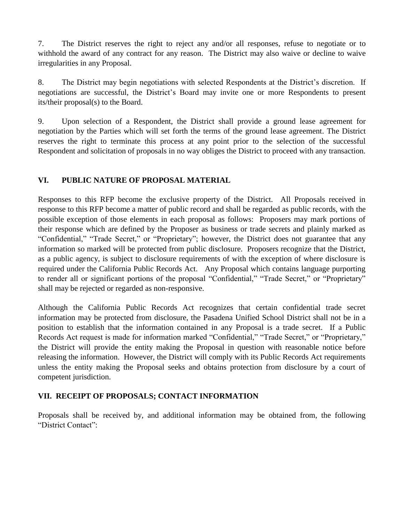7. The District reserves the right to reject any and/or all responses, refuse to negotiate or to withhold the award of any contract for any reason. The District may also waive or decline to waive irregularities in any Proposal.

8. The District may begin negotiations with selected Respondents at the District's discretion. If negotiations are successful, the District's Board may invite one or more Respondents to present its/their proposal(s) to the Board.

9. Upon selection of a Respondent, the District shall provide a ground lease agreement for negotiation by the Parties which will set forth the terms of the ground lease agreement. The District reserves the right to terminate this process at any point prior to the selection of the successful Respondent and solicitation of proposals in no way obliges the District to proceed with any transaction.

## **VI. PUBLIC NATURE OF PROPOSAL MATERIAL**

Responses to this RFP become the exclusive property of the District. All Proposals received in response to this RFP become a matter of public record and shall be regarded as public records, with the possible exception of those elements in each proposal as follows: Proposers may mark portions of their response which are defined by the Proposer as business or trade secrets and plainly marked as "Confidential," "Trade Secret," or "Proprietary"; however, the District does not guarantee that any information so marked will be protected from public disclosure. Proposers recognize that the District, as a public agency, is subject to disclosure requirements of with the exception of where disclosure is required under the California Public Records Act. Any Proposal which contains language purporting to render all or significant portions of the proposal "Confidential," "Trade Secret," or "Proprietary" shall may be rejected or regarded as non-responsive.

Although the California Public Records Act recognizes that certain confidential trade secret information may be protected from disclosure, the Pasadena Unified School District shall not be in a position to establish that the information contained in any Proposal is a trade secret. If a Public Records Act request is made for information marked "Confidential," "Trade Secret," or "Proprietary," the District will provide the entity making the Proposal in question with reasonable notice before releasing the information. However, the District will comply with its Public Records Act requirements unless the entity making the Proposal seeks and obtains protection from disclosure by a court of competent jurisdiction.

## **VII. RECEIPT OF PROPOSALS; CONTACT INFORMATION**

Proposals shall be received by, and additional information may be obtained from, the following "District Contact":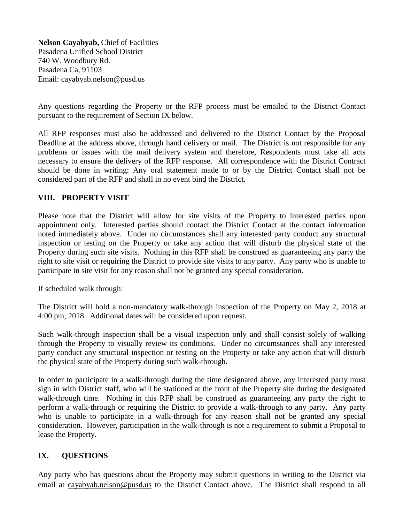**Nelson Cayabyab,** Chief of Facilities Pasadena Unified School District 740 W. Woodbury Rd. Pasadena Ca, 91103 Email: cayabyab.nelson@pusd.us

Any questions regarding the Property or the RFP process must be emailed to the District Contact pursuant to the requirement of Section IX below.

All RFP responses must also be addressed and delivered to the District Contact by the Proposal Deadline at the address above, through hand delivery or mail. The District is not responsible for any problems or issues with the mail delivery system and therefore, Respondents must take all acts necessary to ensure the delivery of the RFP response. All correspondence with the District Contract should be done in writing: Any oral statement made to or by the District Contact shall not be considered part of the RFP and shall in no event bind the District.

#### **VIII. PROPERTY VISIT**

Please note that the District will allow for site visits of the Property to interested parties upon appointment only. Interested parties should contact the District Contact at the contact information noted immediately above. Under no circumstances shall any interested party conduct any structural inspection or testing on the Property or take any action that will disturb the physical state of the Property during such site visits. Nothing in this RFP shall be construed as guaranteeing any party the right to site visit or requiring the District to provide site visits to any party. Any party who is unable to participate in site visit for any reason shall not be granted any special consideration.

If scheduled walk through:

The District will hold a non-mandatory walk-through inspection of the Property on May 2, 2018 at 4:00 pm, 2018. Additional dates will be considered upon request.

Such walk-through inspection shall be a visual inspection only and shall consist solely of walking through the Property to visually review its conditions. Under no circumstances shall any interested party conduct any structural inspection or testing on the Property or take any action that will disturb the physical state of the Property during such walk-through.

In order to participate in a walk-through during the time designated above, any interested party must sign in with District staff, who will be stationed at the front of the Property site during the designated walk-through time. Nothing in this RFP shall be construed as guaranteeing any party the right to perform a walk-through or requiring the District to provide a walk-through to any party. Any party who is unable to participate in a walk-through for any reason shall not be granted any special consideration. However, participation in the walk-through is not a requirement to submit a Proposal to lease the Property.

#### **IX. QUESTIONS**

Any party who has questions about the Property may submit questions in writing to the District via email at cayabyab.nelson@pusd.us to the District Contact above. The District shall respond to all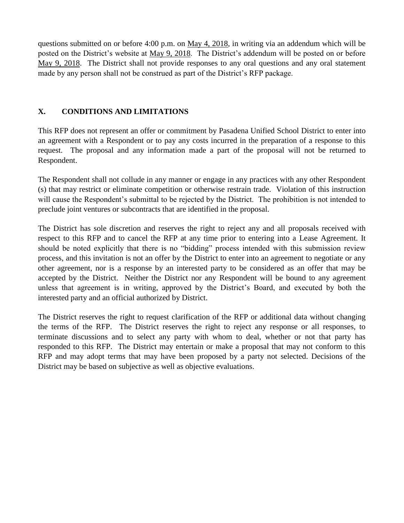questions submitted on or before 4:00 p.m. on May 4, 2018, in writing via an addendum which will be posted on the District's website at May 9, 2018. The District's addendum will be posted on or before May 9, 2018. The District shall not provide responses to any oral questions and any oral statement made by any person shall not be construed as part of the District's RFP package.

#### **X. CONDITIONS AND LIMITATIONS**

This RFP does not represent an offer or commitment by Pasadena Unified School District to enter into an agreement with a Respondent or to pay any costs incurred in the preparation of a response to this request. The proposal and any information made a part of the proposal will not be returned to Respondent.

The Respondent shall not collude in any manner or engage in any practices with any other Respondent (s) that may restrict or eliminate competition or otherwise restrain trade. Violation of this instruction will cause the Respondent's submittal to be rejected by the District. The prohibition is not intended to preclude joint ventures or subcontracts that are identified in the proposal.

The District has sole discretion and reserves the right to reject any and all proposals received with respect to this RFP and to cancel the RFP at any time prior to entering into a Lease Agreement. It should be noted explicitly that there is no "bidding" process intended with this submission review process, and this invitation is not an offer by the District to enter into an agreement to negotiate or any other agreement, nor is a response by an interested party to be considered as an offer that may be accepted by the District. Neither the District nor any Respondent will be bound to any agreement unless that agreement is in writing, approved by the District's Board, and executed by both the interested party and an official authorized by District.

The District reserves the right to request clarification of the RFP or additional data without changing the terms of the RFP. The District reserves the right to reject any response or all responses, to terminate discussions and to select any party with whom to deal, whether or not that party has responded to this RFP. The District may entertain or make a proposal that may not conform to this RFP and may adopt terms that may have been proposed by a party not selected. Decisions of the District may be based on subjective as well as objective evaluations.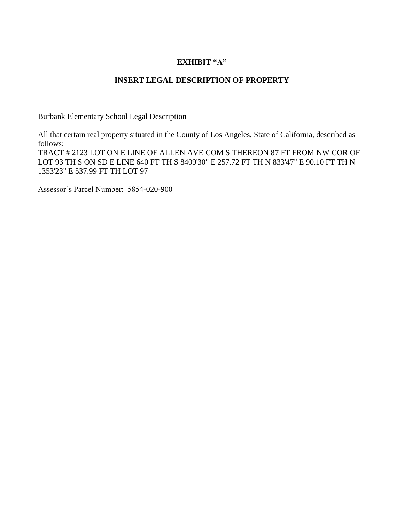## **EXHIBIT "A"**

### **INSERT LEGAL DESCRIPTION OF PROPERTY**

Burbank Elementary School Legal Description

All that certain real property situated in the County of Los Angeles, State of California, described as follows: TRACT # 2123 LOT ON E LINE OF ALLEN AVE COM S THEREON 87 FT FROM NW COR OF LOT 93 TH S ON SD E LINE 640 FT TH S 8409'30" E 257.72 FT TH N 833'47" E 90.10 FT TH N 1353'23" E 537.99 FT TH LOT 97

Assessor's Parcel Number: 5854-020-900